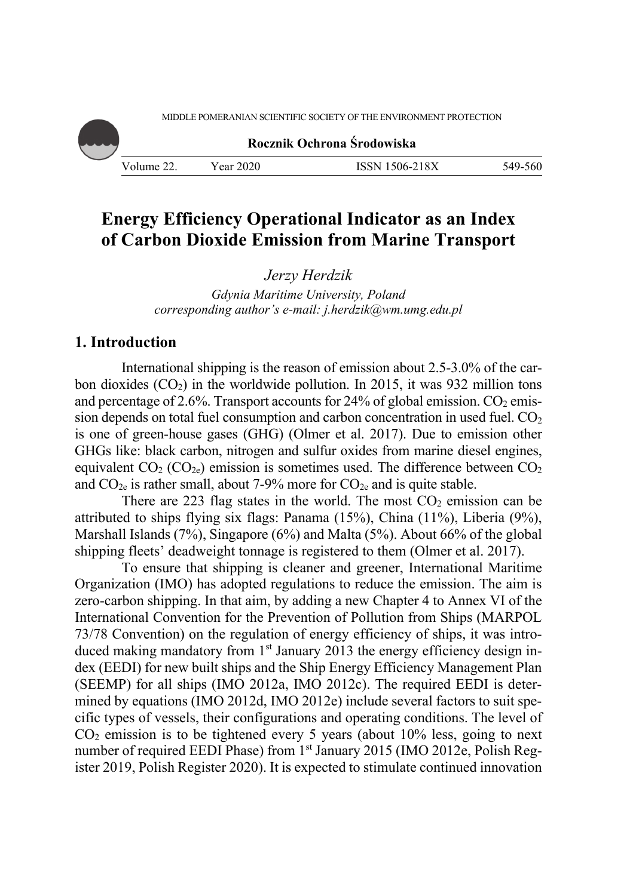MIDDLE POMERANIAN SCIENTIFIC SOCIETY OF THE ENVIRONMENT PROTECTION

**Rocznik Ochrona Środowiska**

Volume 22. Year 2020 ISSN 1506-218X 549-560

# **Energy Efficiency Operational Indicator as an Index of Carbon Dioxide Emission from Marine Transport**

*Jerzy Herdzik* 

*Gdynia Maritime University, Poland corresponding author's e-mail: j.herdzik@wm.umg.edu.pl* 

## **1. Introduction**

International shipping is the reason of emission about 2.5-3.0% of the carbon dioxides  $(CO_2)$  in the worldwide pollution. In 2015, it was 932 million tons and percentage of 2.6%. Transport accounts for 24% of global emission.  $CO<sub>2</sub>$  emission depends on total fuel consumption and carbon concentration in used fuel.  $CO<sub>2</sub>$ is one of green-house gases (GHG) (Olmer et al. 2017). Due to emission other GHGs like: black carbon, nitrogen and sulfur oxides from marine diesel engines, equivalent  $CO_2$  ( $CO_{2e}$ ) emission is sometimes used. The difference between  $CO_2$ and  $CO_{2e}$  is rather small, about 7-9% more for  $CO_{2e}$  and is quite stable.

There are 223 flag states in the world. The most  $CO<sub>2</sub>$  emission can be attributed to ships flying six flags: Panama (15%), China (11%), Liberia (9%), Marshall Islands (7%), Singapore (6%) and Malta (5%). About 66% of the global shipping fleets' deadweight tonnage is registered to them (Olmer et al. 2017).

To ensure that shipping is cleaner and greener, International Maritime Organization (IMO) has adopted regulations to reduce the emission. The aim is zero-carbon shipping. In that aim, by adding a new Chapter 4 to Annex VI of the International Convention for the Prevention of Pollution from Ships (MARPOL 73/78 Convention) on the regulation of energy efficiency of ships, it was introduced making mandatory from  $1<sup>st</sup>$  January 2013 the energy efficiency design index (EEDI) for new built ships and the Ship Energy Efficiency Management Plan (SEEMP) for all ships (IMO 2012a, IMO 2012c). The required EEDI is determined by equations (IMO 2012d, IMO 2012e) include several factors to suit specific types of vessels, their configurations and operating conditions. The level of  $CO<sub>2</sub>$  emission is to be tightened every 5 years (about  $10\%$  less, going to next number of required EEDI Phase) from 1<sup>st</sup> January 2015 (IMO 2012e, Polish Register 2019, Polish Register 2020). It is expected to stimulate continued innovation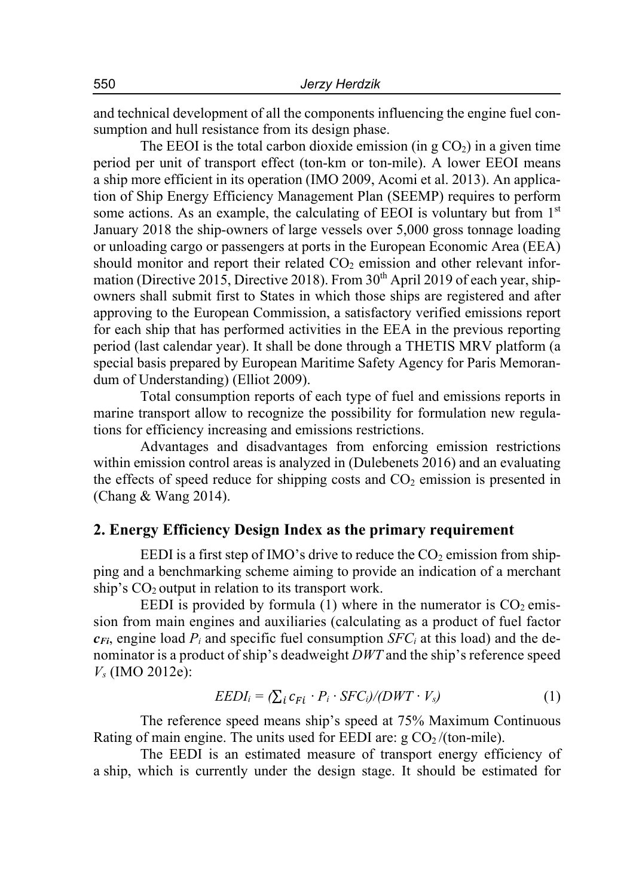and technical development of all the components influencing the engine fuel consumption and hull resistance from its design phase.

The EEOI is the total carbon dioxide emission (in  $g \text{CO}_2$ ) in a given time period per unit of transport effect (ton-km or ton-mile). A lower EEOI means a ship more efficient in its operation (IMO 2009, Acomi et al. 2013). An application of Ship Energy Efficiency Management Plan (SEEMP) requires to perform some actions. As an example, the calculating of EEOI is voluntary but from  $1<sup>st</sup>$ January 2018 the ship-owners of large vessels over 5,000 gross tonnage loading or unloading cargo or passengers at ports in the European Economic Area (EEA) should monitor and report their related  $CO<sub>2</sub>$  emission and other relevant information (Directive 2015, Directive 2018). From  $30<sup>th</sup>$  April 2019 of each year, shipowners shall submit first to States in which those ships are registered and after approving to the European Commission, a satisfactory verified emissions report for each ship that has performed activities in the EEA in the previous reporting period (last calendar year). It shall be done through a THETIS MRV platform (a special basis prepared by European Maritime Safety Agency for Paris Memorandum of Understanding) (Elliot 2009).

Total consumption reports of each type of fuel and emissions reports in marine transport allow to recognize the possibility for formulation new regulations for efficiency increasing and emissions restrictions.

Advantages and disadvantages from enforcing emission restrictions within emission control areas is analyzed in (Dulebenets 2016) and an evaluating the effects of speed reduce for shipping costs and  $CO<sub>2</sub>$  emission is presented in (Chang & Wang 2014).

## **2. Energy Efficiency Design Index as the primary requirement**

EEDI is a first step of IMO's drive to reduce the  $CO<sub>2</sub>$  emission from shipping and a benchmarking scheme aiming to provide an indication of a merchant ship's  $CO<sub>2</sub>$  output in relation to its transport work.

EEDI is provided by formula (1) where in the numerator is  $CO<sub>2</sub>$  emission from main engines and auxiliaries (calculating as a product of fuel factor  $c_{Fi}$ , engine load  $P_i$  and specific fuel consumption *SFC<sub>i</sub>* at this load) and the denominator is a product of ship's deadweight *DWT* and the ship's reference speed *Vs* (IMO 2012e):

$$
EEDI_i = \sum_i c_{Fi} \cdot P_i \cdot SFC_i / (DWT \cdot V_s) \tag{1}
$$

The reference speed means ship's speed at 75% Maximum Continuous Rating of main engine. The units used for EEDI are:  $g \text{CO}_2$ /(ton-mile).

The EEDI is an estimated measure of transport energy efficiency of a ship, which is currently under the design stage. It should be estimated for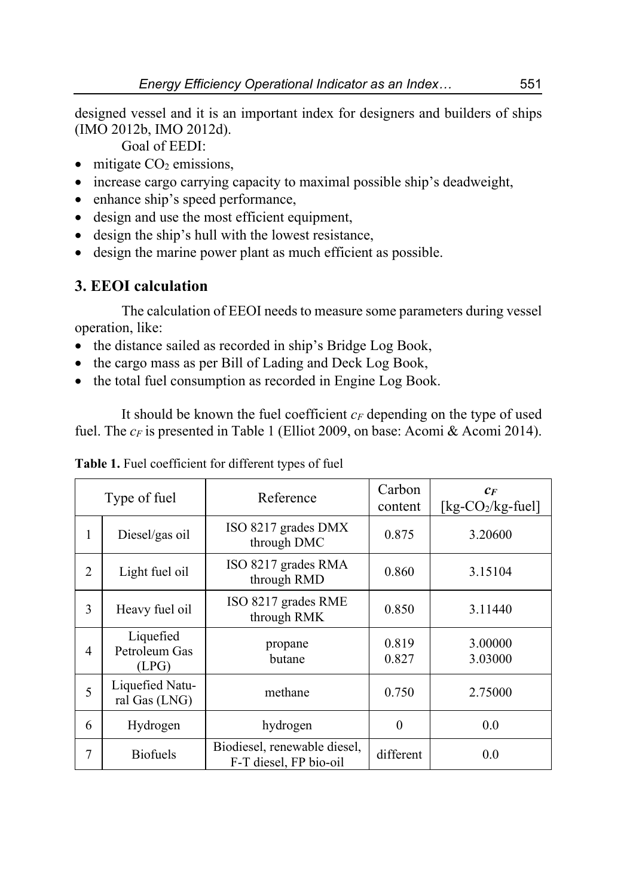designed vessel and it is an important index for designers and builders of ships (IMO 2012b, IMO 2012d).

Goal of EEDI:

- $\bullet$  mitigate  $CO<sub>2</sub>$  emissions,
- increase cargo carrying capacity to maximal possible ship's deadweight,
- enhance ship's speed performance,
- design and use the most efficient equipment,
- design the ship's hull with the lowest resistance,
- design the marine power plant as much efficient as possible.

## **3. EEOI calculation**

The calculation of EEOI needs to measure some parameters during vessel operation, like:

- the distance sailed as recorded in ship's Bridge Log Book,
- the cargo mass as per Bill of Lading and Deck Log Book,
- the total fuel consumption as recorded in Engine Log Book.

It should be known the fuel coefficient  $c_F$  depending on the type of used fuel. The  $c_F$  is presented in Table 1 (Elliot 2009, on base: Acomi & Acomi 2014).

| Type of fuel   |                                     | Reference                                              | Carbon<br>content | $c_F$<br>[ $kg$ - $CO2/kg$ -fuel] |
|----------------|-------------------------------------|--------------------------------------------------------|-------------------|-----------------------------------|
| 1              | Diesel/gas oil                      | ISO 8217 grades DMX<br>through DMC                     | 0.875             | 3.20600                           |
| $\overline{2}$ | Light fuel oil                      | ISO 8217 grades RMA<br>through RMD                     | 0.860             | 3.15104                           |
| 3              | Heavy fuel oil                      | ISO 8217 grades RME<br>through RMK                     | 0.850             | 3.11440                           |
| $\overline{4}$ | Liquefied<br>Petroleum Gas<br>(LPG) | propane<br>butane                                      | 0.819<br>0.827    | 3.00000<br>3.03000                |
| 5              | Liquefied Natu-<br>ral Gas (LNG)    | methane                                                | 0.750             | 2.75000                           |
| 6              | Hydrogen                            | hydrogen                                               | $\theta$          | 0.0                               |
| 7              | <b>Biofuels</b>                     | Biodiesel, renewable diesel,<br>F-T diesel, FP bio-oil | different         | 0.0                               |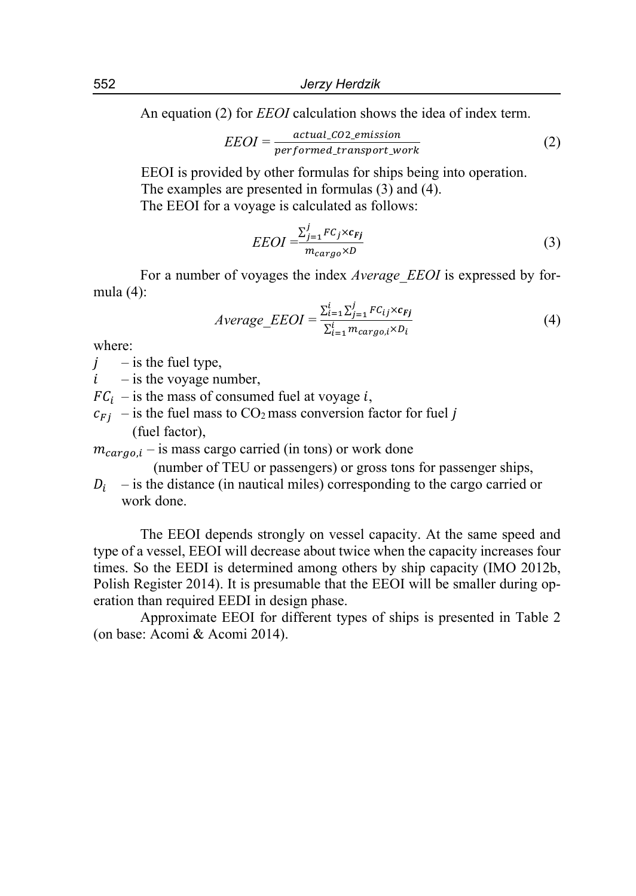An equation (2) for *EEOI* calculation shows the idea of index term.

$$
EEOI = \frac{actual\_CO2\_emission}{performed\_transport\_work}
$$
 (2)

EEOI is provided by other formulas for ships being into operation. The examples are presented in formulas (3) and (4). The EEOI for a voyage is calculated as follows:

$$
EEOI = \frac{\sum_{j=1}^{j} FC_j \times c_{Fj}}{m_{cargo} \times D}
$$
(3)

For a number of voyages the index *Average\_EEOI* is expressed by formula (4):

$$
Average\_EEOI = \frac{\sum_{i=1}^{i} \sum_{j=1}^{j} FC_{ij} \times c_{Fj}}{\sum_{i=1}^{i} m_{cargo,i} \times D_i}
$$
(4)

where:

- $i$  is the fuel type,
- $i$  is the voyage number,

 $FC_i$  – is the mass of consumed fuel at voyage i,

 $c_{Fj}$  – is the fuel mass to CO<sub>2</sub> mass conversion factor for fuel j (fuel factor),

 $m_{carao,i}$  – is mass cargo carried (in tons) or work done

(number of TEU or passengers) or gross tons for passenger ships,

 $D_i$  – is the distance (in nautical miles) corresponding to the cargo carried or work done.

The EEOI depends strongly on vessel capacity. At the same speed and type of a vessel, EEOI will decrease about twice when the capacity increases four times. So the EEDI is determined among others by ship capacity (IMO 2012b, Polish Register 2014). It is presumable that the EEOI will be smaller during operation than required EEDI in design phase.

Approximate EEOI for different types of ships is presented in Table 2 (on base: Acomi & Acomi 2014).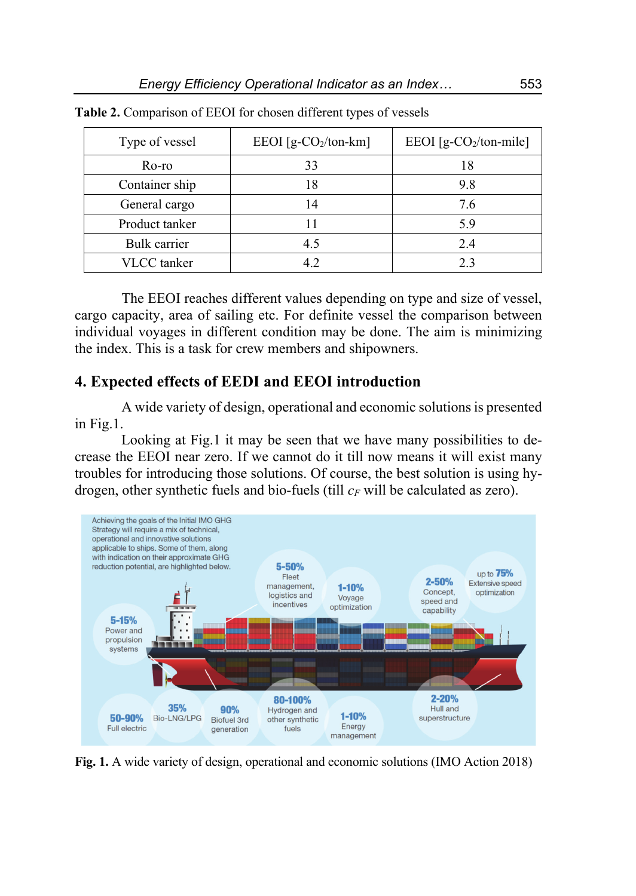| Type of vessel | EEOI [g-CO <sub>2</sub> /ton-km] | EEOI [g-CO <sub>2</sub> /ton-mile] |
|----------------|----------------------------------|------------------------------------|
| Ro-ro          | 33                               |                                    |
| Container ship |                                  | 9.8                                |
| General cargo  |                                  | 7.6                                |
| Product tanker |                                  | 5.9                                |
| Bulk carrier   |                                  | 2.4                                |
| VLCC tanker    |                                  | 23                                 |

**Table 2.** Comparison of EEOI for chosen different types of vessels

The EEOI reaches different values depending on type and size of vessel, cargo capacity, area of sailing etc. For definite vessel the comparison between individual voyages in different condition may be done. The aim is minimizing the index. This is a task for crew members and shipowners.

## **4. Expected effects of EEDI and EEOI introduction**

A wide variety of design, operational and economic solutions is presented in Fig.1.

Looking at Fig.1 it may be seen that we have many possibilities to decrease the EEOI near zero. If we cannot do it till now means it will exist many troubles for introducing those solutions. Of course, the best solution is using hydrogen, other synthetic fuels and bio-fuels (till  $c_F$  will be calculated as zero).



**Fig. 1.** A wide variety of design, operational and economic solutions (IMO Action 2018)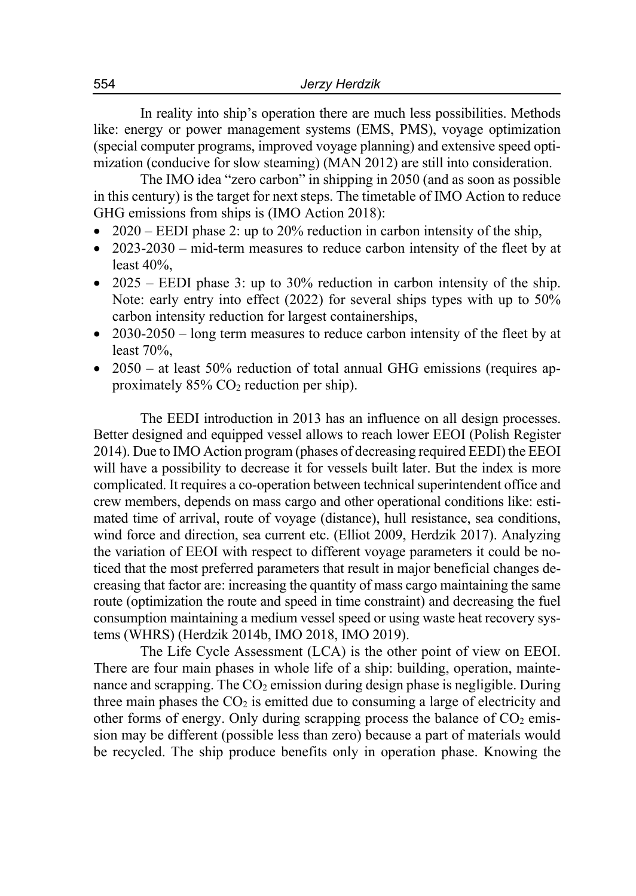In reality into ship's operation there are much less possibilities. Methods like: energy or power management systems (EMS, PMS), voyage optimization (special computer programs, improved voyage planning) and extensive speed optimization (conducive for slow steaming) (MAN 2012) are still into consideration.

The IMO idea "zero carbon" in shipping in 2050 (and as soon as possible in this century) is the target for next steps. The timetable of IMO Action to reduce GHG emissions from ships is (IMO Action 2018):

- 2020 EEDI phase 2: up to 20% reduction in carbon intensity of the ship,
- 2023-2030 mid-term measures to reduce carbon intensity of the fleet by at least 40%,
- 2025 EEDI phase 3: up to 30% reduction in carbon intensity of the ship. Note: early entry into effect (2022) for several ships types with up to 50% carbon intensity reduction for largest containerships,
- 2030-2050 long term measures to reduce carbon intensity of the fleet by at least 70%,
- 2050 at least 50% reduction of total annual GHG emissions (requires approximately  $85\%$  CO<sub>2</sub> reduction per ship).

The EEDI introduction in 2013 has an influence on all design processes. Better designed and equipped vessel allows to reach lower EEOI (Polish Register 2014). Due to IMO Action program (phases of decreasing required EEDI) the EEOI will have a possibility to decrease it for vessels built later. But the index is more complicated. It requires a co-operation between technical superintendent office and crew members, depends on mass cargo and other operational conditions like: estimated time of arrival, route of voyage (distance), hull resistance, sea conditions, wind force and direction, sea current etc. (Elliot 2009, Herdzik 2017). Analyzing the variation of EEOI with respect to different voyage parameters it could be noticed that the most preferred parameters that result in major beneficial changes decreasing that factor are: increasing the quantity of mass cargo maintaining the same route (optimization the route and speed in time constraint) and decreasing the fuel consumption maintaining a medium vessel speed or using waste heat recovery systems (WHRS) (Herdzik 2014b, IMO 2018, IMO 2019).

The Life Cycle Assessment (LCA) is the other point of view on EEOI. There are four main phases in whole life of a ship: building, operation, maintenance and scrapping. The  $CO<sub>2</sub>$  emission during design phase is negligible. During three main phases the  $CO<sub>2</sub>$  is emitted due to consuming a large of electricity and other forms of energy. Only during scrapping process the balance of  $CO<sub>2</sub>$  emission may be different (possible less than zero) because a part of materials would be recycled. The ship produce benefits only in operation phase. Knowing the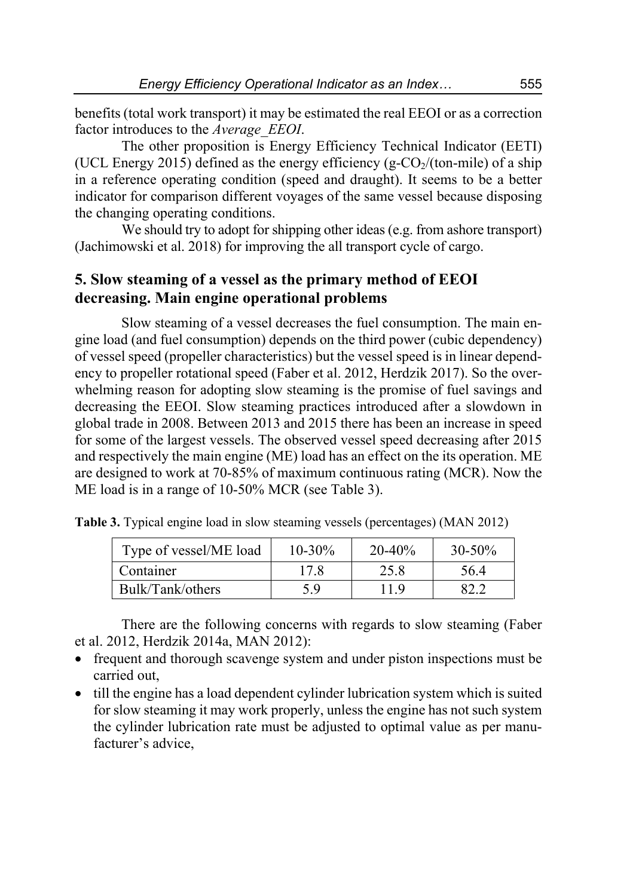benefits (total work transport) it may be estimated the real EEOI or as a correction factor introduces to the *Average\_EEOI*.

The other proposition is Energy Efficiency Technical Indicator (EETI) (UCL Energy 2015) defined as the energy efficiency (g- $CO<sub>2</sub>/(ton-mile)$ ) of a ship in a reference operating condition (speed and draught). It seems to be a better indicator for comparison different voyages of the same vessel because disposing the changing operating conditions.

We should try to adopt for shipping other ideas (e.g. from ashore transport) (Jachimowski et al. 2018) for improving the all transport cycle of cargo.

## **5. Slow steaming of a vessel as the primary method of EEOI decreasing. Main engine operational problems**

Slow steaming of a vessel decreases the fuel consumption. The main engine load (and fuel consumption) depends on the third power (cubic dependency) of vessel speed (propeller characteristics) but the vessel speed is in linear dependency to propeller rotational speed (Faber et al. 2012, Herdzik 2017). So the overwhelming reason for adopting slow steaming is the promise of fuel savings and decreasing the EEOI. Slow steaming practices introduced after a slowdown in global trade in 2008. Between 2013 and 2015 there has been an increase in speed for some of the largest vessels. The observed vessel speed decreasing after 2015 and respectively the main engine (ME) load has an effect on the its operation. ME are designed to work at 70-85% of maximum continuous rating (MCR). Now the ME load is in a range of 10-50% MCR (see Table 3).

| Type of vessel/ME load | $10 - 30\%$ | $20 - 40\%$ | $30 - 50\%$ |
|------------------------|-------------|-------------|-------------|
| Container              | 17.8        | 25.8        | 56.4        |
| Bulk/Tank/others       | 5. 9        | 11.9        |             |

**Table 3.** Typical engine load in slow steaming vessels (percentages) (MAN 2012)

There are the following concerns with regards to slow steaming (Faber et al. 2012, Herdzik 2014a, MAN 2012):

- frequent and thorough scavenge system and under piston inspections must be carried out,
- till the engine has a load dependent cylinder lubrication system which is suited for slow steaming it may work properly, unless the engine has not such system the cylinder lubrication rate must be adjusted to optimal value as per manufacturer's advice,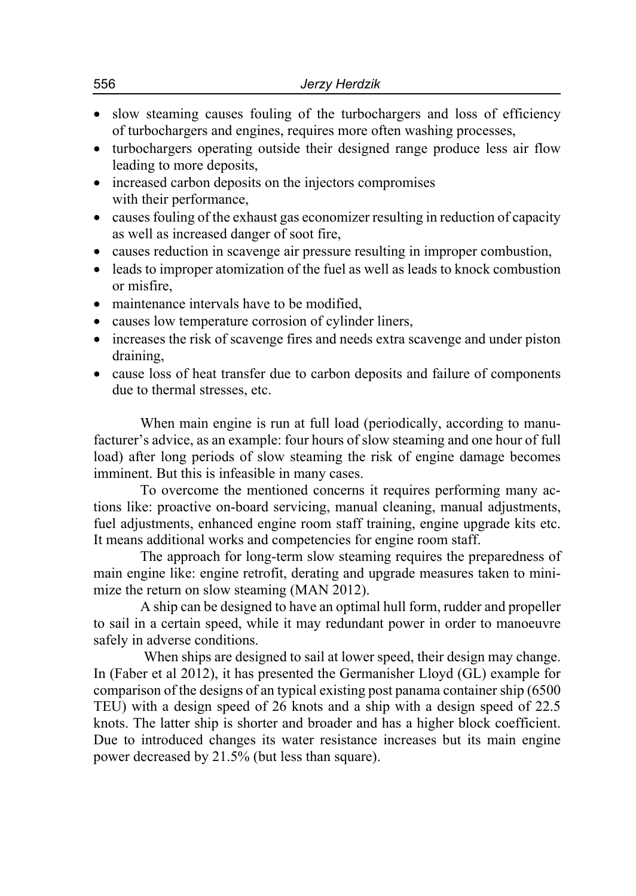- slow steaming causes fouling of the turbochargers and loss of efficiency of turbochargers and engines, requires more often washing processes,
- turbochargers operating outside their designed range produce less air flow leading to more deposits,
- increased carbon deposits on the injectors compromises with their performance,
- causes fouling of the exhaust gas economizer resulting in reduction of capacity as well as increased danger of soot fire,
- causes reduction in scavenge air pressure resulting in improper combustion,
- leads to improper atomization of the fuel as well as leads to knock combustion or misfire,
- maintenance intervals have to be modified.
- causes low temperature corrosion of cylinder liners,
- increases the risk of scavenge fires and needs extra scavenge and under piston draining,
- cause loss of heat transfer due to carbon deposits and failure of components due to thermal stresses, etc.

When main engine is run at full load (periodically, according to manufacturer's advice, as an example: four hours of slow steaming and one hour of full load) after long periods of slow steaming the risk of engine damage becomes imminent. But this is infeasible in many cases.

To overcome the mentioned concerns it requires performing many actions like: proactive on-board servicing, manual cleaning, manual adjustments, fuel adjustments, enhanced engine room staff training, engine upgrade kits etc. It means additional works and competencies for engine room staff.

The approach for long-term slow steaming requires the preparedness of main engine like: engine retrofit, derating and upgrade measures taken to minimize the return on slow steaming (MAN 2012).

A ship can be designed to have an optimal hull form, rudder and propeller to sail in a certain speed, while it may redundant power in order to manoeuvre safely in adverse conditions.

 When ships are designed to sail at lower speed, their design may change. In (Faber et al 2012), it has presented the Germanisher Lloyd (GL) example for comparison of the designs of an typical existing post panama container ship (6500 TEU) with a design speed of 26 knots and a ship with a design speed of 22.5 knots. The latter ship is shorter and broader and has a higher block coefficient. Due to introduced changes its water resistance increases but its main engine power decreased by 21.5% (but less than square).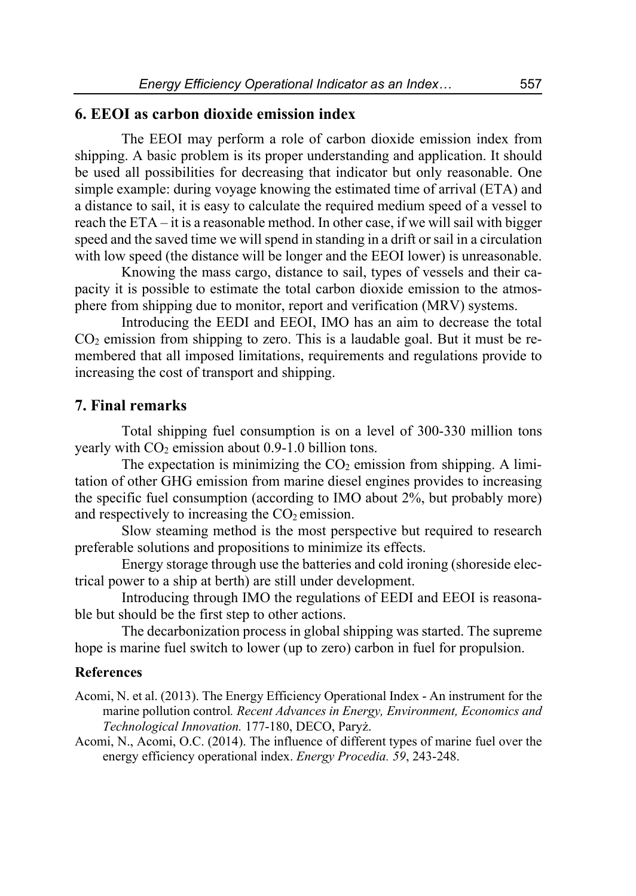## **6. EEOI as carbon dioxide emission index**

The EEOI may perform a role of carbon dioxide emission index from shipping. A basic problem is its proper understanding and application. It should be used all possibilities for decreasing that indicator but only reasonable. One simple example: during voyage knowing the estimated time of arrival (ETA) and a distance to sail, it is easy to calculate the required medium speed of a vessel to reach the ETA – it is a reasonable method. In other case, if we will sail with bigger speed and the saved time we will spend in standing in a drift or sail in a circulation with low speed (the distance will be longer and the EEOI lower) is unreasonable.

Knowing the mass cargo, distance to sail, types of vessels and their capacity it is possible to estimate the total carbon dioxide emission to the atmosphere from shipping due to monitor, report and verification (MRV) systems.

Introducing the EEDI and EEOI, IMO has an aim to decrease the total  $CO<sub>2</sub>$  emission from shipping to zero. This is a laudable goal. But it must be remembered that all imposed limitations, requirements and regulations provide to increasing the cost of transport and shipping.

#### **7. Final remarks**

Total shipping fuel consumption is on a level of 300-330 million tons yearly with  $CO<sub>2</sub>$  emission about 0.9-1.0 billion tons.

The expectation is minimizing the  $CO<sub>2</sub>$  emission from shipping. A limitation of other GHG emission from marine diesel engines provides to increasing the specific fuel consumption (according to IMO about 2%, but probably more) and respectively to increasing the  $CO<sub>2</sub>$  emission.

Slow steaming method is the most perspective but required to research preferable solutions and propositions to minimize its effects.

Energy storage through use the batteries and cold ironing (shoreside electrical power to a ship at berth) are still under development.

Introducing through IMO the regulations of EEDI and EEOI is reasonable but should be the first step to other actions.

The decarbonization process in global shipping was started. The supreme hope is marine fuel switch to lower (up to zero) carbon in fuel for propulsion.

### **References**

Acomi, N. et al. (2013). The Energy Efficiency Operational Index - An instrument for the marine pollution control*. Recent Advances in Energy, Environment, Economics and Technological Innovation.* 177-180, DECO, Paryż.

Acomi, N., Acomi, O.C. (2014). The influence of different types of marine fuel over the energy efficiency operational index. *Energy Procedia. 59*, 243-248.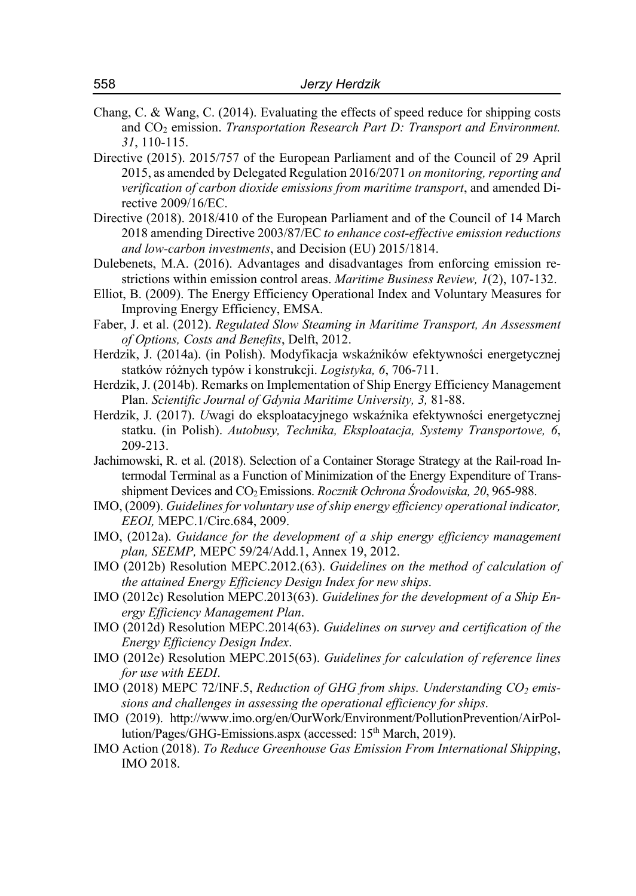- Chang, C. & Wang, C. (2014). Evaluating the effects of speed reduce for shipping costs and CO2 emission. *Transportation Research Part D: Transport and Environment. 31*, 110-115.
- Directive (2015). 2015/757 of the European Parliament and of the Council of 29 April 2015, as amended by Delegated Regulation 2016/2071 *on monitoring, reporting and verification of carbon dioxide emissions from maritime transport*, and amended Directive 2009/16/EC.
- Directive (2018). 2018/410 of the European Parliament and of the Council of 14 March 2018 amending Directive 2003/87/EC *to enhance cost-effective emission reductions and low-carbon investments*, and Decision (EU) 2015/1814.
- Dulebenets, M.A. (2016). Advantages and disadvantages from enforcing emission restrictions within emission control areas. *Maritime Business Review, 1*(2), 107-132.
- Elliot, B. (2009). The Energy Efficiency Operational Index and Voluntary Measures for Improving Energy Efficiency, EMSA.
- Faber, J. et al. (2012). *Regulated Slow Steaming in Maritime Transport, An Assessment of Options, Costs and Benefits*, Delft, 2012.
- Herdzik, J. (2014a). (in Polish). Modyfikacja wskaźników efektywności energetycznej statków różnych typów i konstrukcji. *Logistyka, 6*, 706-711.
- Herdzik, J. (2014b). Remarks on Implementation of Ship Energy Efficiency Management Plan. *Scientific Journal of Gdynia Maritime University, 3,* 81-88.
- Herdzik, J. (2017). *U*wagi do eksploatacyjnego wskaźnika efektywności energetycznej statku. (in Polish). *Autobusy, Technika, Eksploatacja, Systemy Transportowe, 6*, 209-213.
- Jachimowski, R. et al. (2018). Selection of a Container Storage Strategy at the Rail-road Intermodal Terminal as a Function of Minimization of the Energy Expenditure of Transshipment Devices and CO2 Emissions. *Rocznik Ochrona Środowiska, 20*, 965-988.
- IMO, (2009). *Guidelines for voluntary use of ship energy efficiency operational indicator, EEOI,* MEPC.1/Circ.684, 2009.
- IMO, (2012a). *Guidance for the development of a ship energy efficiency management plan, SEEMP,* MEPC 59/24/Add.1, Annex 19, 2012.
- IMO (2012b) Resolution MEPC.2012.(63). *Guidelines on the method of calculation of the attained Energy Efficiency Design Index for new ships*.
- IMO (2012c) Resolution MEPC.2013(63). *Guidelines for the development of a Ship Energy Efficiency Management Plan*.
- IMO (2012d) Resolution MEPC.2014(63). *Guidelines on survey and certification of the Energy Efficiency Design Index*.
- IMO (2012e) Resolution MEPC.2015(63). *Guidelines for calculation of reference lines for use with EEDI*.
- IMO (2018) MEPC 72/INF.5, *Reduction of GHG from ships. Understanding CO<sub>2</sub> emissions and challenges in assessing the operational efficiency for ships*.
- IMO (2019). http://www.imo.org/en/OurWork/Environment/PollutionPrevention/AirPollution/Pages/GHG-Emissions.aspx (accessed: 15<sup>th</sup> March, 2019).
- IMO Action (2018). *To Reduce Greenhouse Gas Emission From International Shipping*, IMO 2018.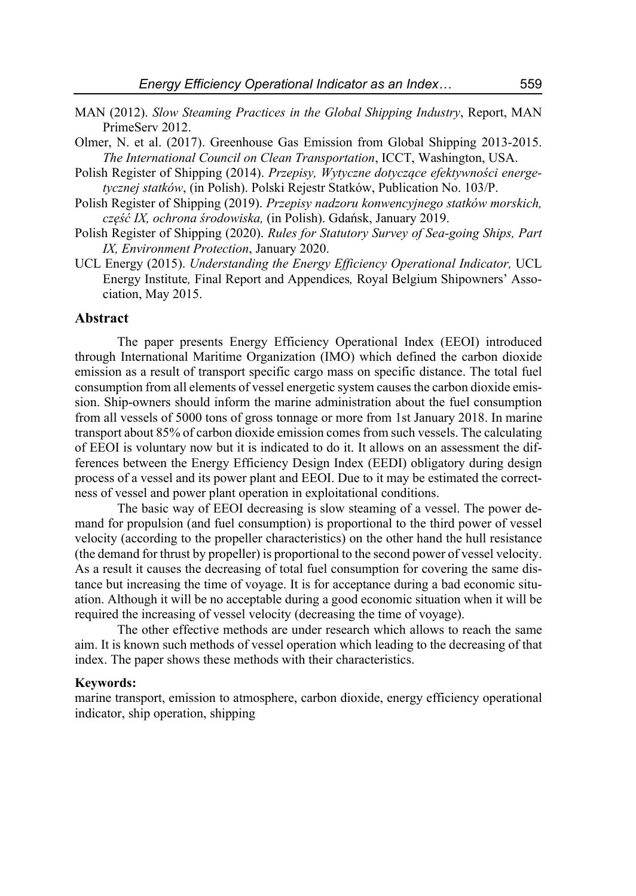- MAN (2012). *Slow Steaming Practices in the Global Shipping Industry*, Report, MAN PrimeServ 2012.
- Olmer, N. et al. (2017). Greenhouse Gas Emission from Global Shipping 2013-2015. *The International Council on Clean Transportation*, ICCT, Washington, USA.
- Polish Register of Shipping (2014). *Przepisy, Wytyczne dotyczące efektywności energetycznej statków*, (in Polish). Polski Rejestr Statków, Publication No. 103/P.
- Polish Register of Shipping (2019). *Przepisy nadzoru konwencyjnego statków morskich, część IX, ochrona środowiska,* (in Polish). Gdańsk, January 2019.
- Polish Register of Shipping (2020). *Rules for Statutory Survey of Sea-going Ships, Part IX, Environment Protection*, January 2020.
- UCL Energy (2015). *Understanding the Energy Efficiency Operational Indicator,* UCL Energy Institute*,* Final Report and Appendices*,* Royal Belgium Shipowners' Association, May 2015.

#### **Abstract**

The paper presents Energy Efficiency Operational Index (EEOI) introduced through International Maritime Organization (IMO) which defined the carbon dioxide emission as a result of transport specific cargo mass on specific distance. The total fuel consumption from all elements of vessel energetic system causes the carbon dioxide emission. Ship-owners should inform the marine administration about the fuel consumption from all vessels of 5000 tons of gross tonnage or more from 1st January 2018. In marine transport about 85% of carbon dioxide emission comes from such vessels. The calculating of EEOI is voluntary now but it is indicated to do it. It allows on an assessment the differences between the Energy Efficiency Design Index (EEDI) obligatory during design process of a vessel and its power plant and EEOI. Due to it may be estimated the correctness of vessel and power plant operation in exploitational conditions.

The basic way of EEOI decreasing is slow steaming of a vessel. The power demand for propulsion (and fuel consumption) is proportional to the third power of vessel velocity (according to the propeller characteristics) on the other hand the hull resistance (the demand for thrust by propeller) is proportional to the second power of vessel velocity. As a result it causes the decreasing of total fuel consumption for covering the same distance but increasing the time of voyage. It is for acceptance during a bad economic situation. Although it will be no acceptable during a good economic situation when it will be required the increasing of vessel velocity (decreasing the time of voyage).

The other effective methods are under research which allows to reach the same aim. It is known such methods of vessel operation which leading to the decreasing of that index. The paper shows these methods with their characteristics.

#### **Keywords:**

marine transport, emission to atmosphere, carbon dioxide, energy efficiency operational indicator, ship operation, shipping